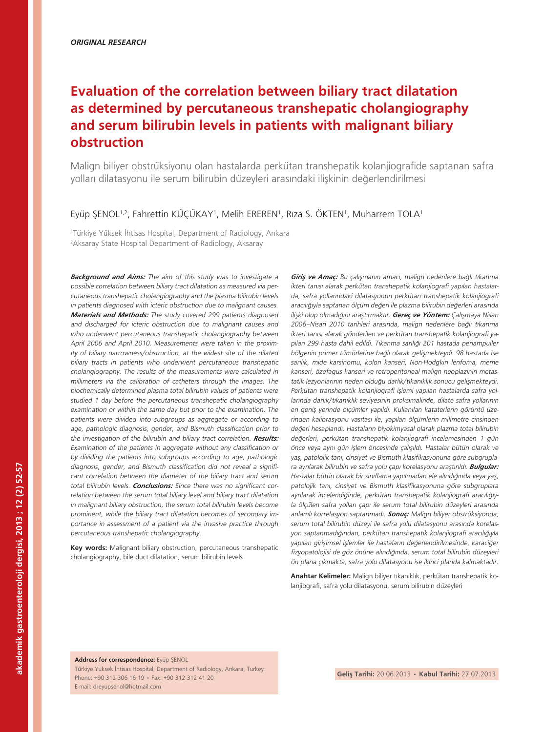# **Evaluation of the correlation between biliary tract dilatation as determined by percutaneous transhepatic cholangiography and serum bilirubin levels in patients with malignant biliary obstruction**

Malign biliyer obstrüksiyonu olan hastalarda perkütan transhepatik kolanjiografide saptanan safra yolları dilatasyonu ile serum bilirubin düzeyleri arasındaki ilişkinin değerlendirilmesi

#### Eyüp ŞENOL<sup>1,2</sup>, Fahrettin KÜÇÜKAY<sup>1</sup>, Melih EREREN<sup>1</sup>, Rıza S. ÖKTEN<sup>1</sup>, Muharrem TOLA<sup>1</sup>

1 Türkiye Yüksek İhtisas Hospital, Department of Radiology, Ankara 2 Aksaray State Hospital Department of Radiology, Aksaray

*Background and Aims:* The aim of this study was to investigate a possible correlation between biliary tract dilatation as measured via percutaneous transhepatic cholangiography and the plasma bilirubin levels in patients diagnosed with icteric obstruction due to malignant causes. *Materials and Methods:* The study covered 299 patients diagnosed and discharged for icteric obstruction due to malignant causes and who underwent percutaneous transhepatic cholangiography between April 2006 and April 2010. Measurements were taken in the proximity of biliary narrowness/obstruction, at the widest site of the dilated biliary tracts in patients who underwent percutaneous transhepatic cholangiography. The results of the measurements were calculated in millimeters via the calibration of catheters through the images. The biochemically determined plasma total bilirubin values of patients were studied 1 day before the percutaneous transhepatic cholangiography examination or within the same day but prior to the examination. The patients were divided into subgroups as aggregate or according to age, pathologic diagnosis, gender, and Bismuth classification prior to the investigation of the bilirubin and biliary tract correlation. *Results:* Examination of the patients in aggregate without any classification or by dividing the patients into subgroups according to age, pathologic diagnosis, gender, and Bismuth classification did not reveal a significant correlation between the diameter of the biliary tract and serum total bilirubin levels. *Conclusions:* Since there was no significant correlation between the serum total biliary level and biliary tract dilatation in malignant biliary obstruction, the serum total bilirubin levels become prominent, while the biliary tract dilatation becomes of secondary importance in assessment of a patient via the invasive practice through percutaneous transhepatic cholangiography.

**Key words:** Malignant biliary obstruction, percutaneous transhepatic cholangiography, bile duct dilatation, serum bilirubin levels

*Giriş ve Amaç:* Bu çalışmanın amacı, malign nedenlere bağlı tıkanma ikteri tanısı alarak perkütan transhepatik kolanjiografi yapılan hastalarda, safra yollarındaki dilatasyonun perkütan transhepatik kolanjiografi aracılığıyla saptanan ölçüm değeri ile plazma bilirubin değerleri arasında ilişki olup olmadığını araştırmaktır. *Gereç ve Yöntem:* Çalışmaya Nisan 2006–Nisan 2010 tarihleri arasında, malign nedenlere bağlı tıkanma ikteri tanısı alarak gönderilen ve perkütan transhepatik kolanjiografi yapılan 299 hasta dahil edildi. Tıkanma sarılığı 201 hastada periampuller bölgenin primer tümörlerine bağlı olarak gelişmekteydi. 98 hastada ise sarılık, mide karsinomu, kolon kanseri, Non-Hodgkin lenfoma, meme kanseri, özefagus kanseri ve retroperitoneal malign neoplazinin metastatik lezyonlarının neden olduğu darlık/tıkanıklık sonucu gelişmekteydi. Perkütan transhepatik kolanjiografi işlemi yapılan hastalarda safra yollarında darlık/tıkanıklık seviyesinin proksimalinde, dilate safra yollarının en geniş yerinde ölçümler yapıldı. Kullanılan kataterlerin görüntü üzerinden kalibrasyonu vasıtası ile, yapılan ölçümlerin milimetre cinsinden değeri hesaplandı. Hastaların biyokimyasal olarak plazma total bilirubin değerleri, perkütan transhepatik kolanjiografi incelemesinden 1 gün önce veya aynı gün işlem öncesinde çalışıldı. Hastalar bütün olarak ve yaş, patolojik tanı, cinsiyet ve Bismuth klasifikasyonuna göre subgruplara ayrılarak bilirubin ve safra yolu çapı korelasyonu araştırıldı. *Bulgular:* Hastalar bütün olarak bir sınıflama yapılmadan ele alındığında veya yaş, patolojik tanı, cinsiyet ve Bismuth klasifikasyonuna göre subgruplara ayrılarak incelendiğinde, perkütan transhepatik kolanjiografi aracılığıyla ölçülen safra yolları çapı ile serum total bilirubin düzeyleri arasında anlamlı korrelasyon saptanmadı. *Sonuç:* Malign biliyer obstrüksiyonda; serum total bilirubin düzeyi ile safra yolu dilatasyonu arasında korelasyon saptanmadığından, perkütan transhepatik kolanjiografi aracılığıyla yapılan girişimsel işlemler ile hastaların değerlendirilmesinde, karaciğer fizyopatolojisi de göz önüne alındığında, serum total bilirubin düzeyleri ön plana çıkmakta, safra yolu dilatasyonu ise ikinci planda kalmaktadır.

**Anahtar Kelimeler:** Malign biliyer tıkanıklık, perkütan transhepatik kolanjiografi, safra yolu dilatasyonu, serum bilirubin düzeyleri

**Address for correspondence:** Eyüp ŞENOL Türkiye Yüksek İhtisas Hospital, Department of Radiology, Ankara, Turkey Phone: +90 312 306 16 19 • Fax: +90 312 312 41 20 E-mail: dreyupsenol@hotmail.com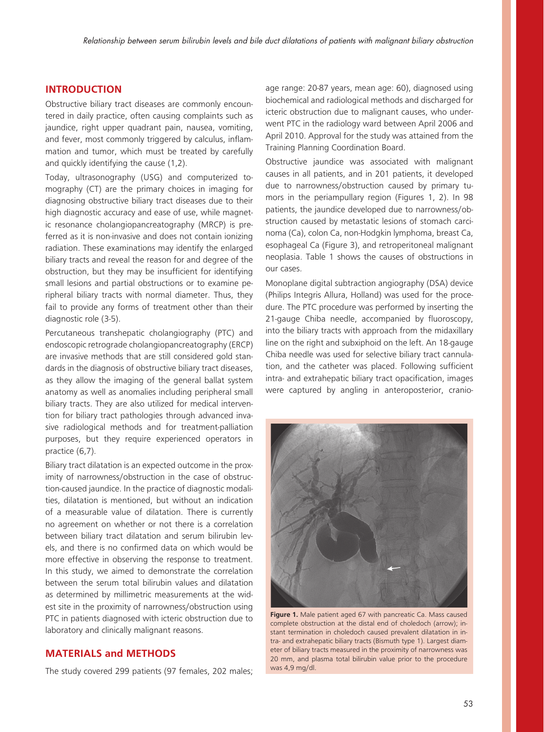## **INTRODUCTION**

Obstructive biliary tract diseases are commonly encountered in daily practice, often causing complaints such as jaundice, right upper quadrant pain, nausea, vomiting, and fever, most commonly triggered by calculus, inflammation and tumor, which must be treated by carefully and quickly identifying the cause (1,2).

Today, ultrasonography (USG) and computerized tomography (CT) are the primary choices in imaging for diagnosing obstructive biliary tract diseases due to their high diagnostic accuracy and ease of use, while magnetic resonance cholangiopancreatography (MRCP) is preferred as it is non-invasive and does not contain ionizing radiation. These examinations may identify the enlarged biliary tracts and reveal the reason for and degree of the obstruction, but they may be insufficient for identifying small lesions and partial obstructions or to examine peripheral biliary tracts with normal diameter. Thus, they fail to provide any forms of treatment other than their diagnostic role (3-5).

Percutaneous transhepatic cholangiography (PTC) and endoscopic retrograde cholangiopancreatography (ERCP) are invasive methods that are still considered gold standards in the diagnosis of obstructive biliary tract diseases, as they allow the imaging of the general ballat system anatomy as well as anomalies including peripheral small biliary tracts. They are also utilized for medical intervention for biliary tract pathologies through advanced invasive radiological methods and for treatment-palliation purposes, but they require experienced operators in practice (6,7).

Biliary tract dilatation is an expected outcome in the proximity of narrowness/obstruction in the case of obstruction-caused jaundice. In the practice of diagnostic modalities, dilatation is mentioned, but without an indication of a measurable value of dilatation. There is currently no agreement on whether or not there is a correlation between biliary tract dilatation and serum bilirubin levels, and there is no confirmed data on which would be more effective in observing the response to treatment. In this study, we aimed to demonstrate the correlation between the serum total bilirubin values and dilatation as determined by millimetric measurements at the widest site in the proximity of narrowness/obstruction using PTC in patients diagnosed with icteric obstruction due to laboratory and clinically malignant reasons.

## **MATERIALS and METHODS**

The study covered 299 patients (97 females, 202 males;

age range: 20-87 years, mean age: 60), diagnosed using biochemical and radiological methods and discharged for icteric obstruction due to malignant causes, who underwent PTC in the radiology ward between April 2006 and April 2010. Approval for the study was attained from the Training Planning Coordination Board.

Obstructive jaundice was associated with malignant causes in all patients, and in 201 patients, it developed due to narrowness/obstruction caused by primary tumors in the periampullary region (Figures 1, 2). In 98 patients, the jaundice developed due to narrowness/obstruction caused by metastatic lesions of stomach carcinoma (Ca), colon Ca, non-Hodgkin lymphoma, breast Ca, esophageal Ca (Figure 3), and retroperitoneal malignant neoplasia. Table 1 shows the causes of obstructions in our cases.

Monoplane digital subtraction angiography (DSA) device (Philips Integris Allura, Holland) was used for the procedure. The PTC procedure was performed by inserting the 21-gauge Chiba needle, accompanied by fluoroscopy, into the biliary tracts with approach from the midaxillary line on the right and subxiphoid on the left. An 18-gauge Chiba needle was used for selective biliary tract cannulation, and the catheter was placed. Following sufficient intra- and extrahepatic biliary tract opacification, images were captured by angling in anteroposterior, cranio-



**Figure 1.** Male patient aged 67 with pancreatic Ca. Mass caused complete obstruction at the distal end of choledoch (arrow); instant termination in choledoch caused prevalent dilatation in intra- and extrahepatic biliary tracts (Bismuth type 1). Largest diameter of biliary tracts measured in the proximity of narrowness was 20 mm, and plasma total bilirubin value prior to the procedure was 4,9 mg/dl.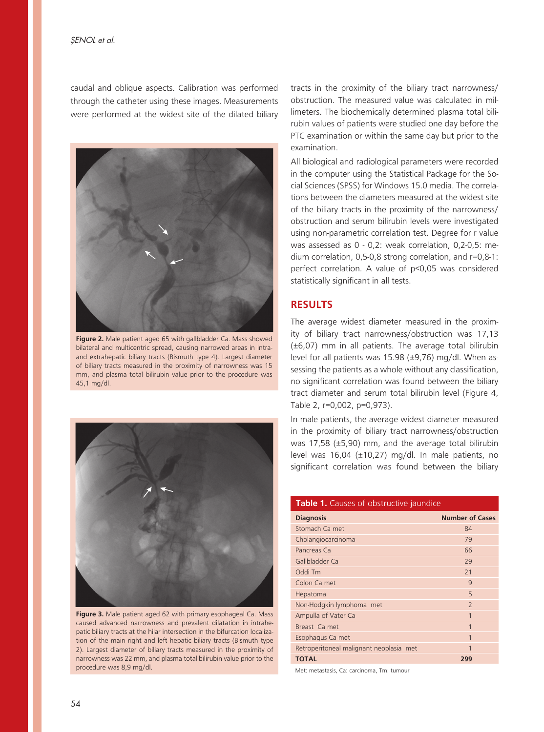caudal and oblique aspects. Calibration was performed through the catheter using these images. Measurements were performed at the widest site of the dilated biliary



**Figure 2.** Male patient aged 65 with gallbladder Ca. Mass showed bilateral and multicentric spread, causing narrowed areas in intraand extrahepatic biliary tracts (Bismuth type 4). Largest diameter of biliary tracts measured in the proximity of narrowness was 15 mm, and plasma total bilirubin value prior to the procedure was 45,1 mg/dl.



**Figure 3.** Male patient aged 62 with primary esophageal Ca. Mass caused advanced narrowness and prevalent dilatation in intrahepatic biliary tracts at the hilar intersection in the bifurcation localization of the main right and left hepatic biliary tracts (Bismuth type 2). Largest diameter of biliary tracts measured in the proximity of narrowness was 22 mm, and plasma total bilirubin value prior to the procedure was 8,9 mg/dl.

tracts in the proximity of the biliary tract narrowness/ obstruction. The measured value was calculated in millimeters. The biochemically determined plasma total bilirubin values of patients were studied one day before the PTC examination or within the same day but prior to the examination.

All biological and radiological parameters were recorded in the computer using the Statistical Package for the Social Sciences (SPSS) for Windows 15.0 media. The correlations between the diameters measured at the widest site of the biliary tracts in the proximity of the narrowness/ obstruction and serum bilirubin levels were investigated using non-parametric correlation test. Degree for r value was assessed as 0 - 0,2: weak correlation, 0,2-0,5: medium correlation, 0,5-0,8 strong correlation, and r=0,8-1: perfect correlation. A value of p<0,05 was considered statistically significant in all tests.

## **RESULTS**

The average widest diameter measured in the proximity of biliary tract narrowness/obstruction was 17,13 (±6,07) mm in all patients. The average total bilirubin level for all patients was 15.98 (±9,76) mg/dl. When assessing the patients as a whole without any classification, no significant correlation was found between the biliary tract diameter and serum total bilirubin level (Figure 4, Table 2, r=0,002, p=0,973).

In male patients, the average widest diameter measured in the proximity of biliary tract narrowness/obstruction was 17,58 (±5,90) mm, and the average total bilirubin level was 16,04 (±10,27) mg/dl. In male patients, no significant correlation was found between the biliary

#### **Table 1.** Causes of obstructive jaundice

| <b>Diagnosis</b>                        | <b>Number of Cases</b>   |
|-----------------------------------------|--------------------------|
| Stomach Ca met                          | 84                       |
| Cholangiocarcinoma                      | 79                       |
| Pancreas Ca                             | 66                       |
| Gallbladder Ca                          | 29                       |
| Oddi Tm                                 | 21                       |
| Colon Ca met                            | $\mathsf{Q}$             |
| Hepatoma                                | 5                        |
| Non-Hodgkin lymphoma met                | $\overline{\phantom{0}}$ |
| Ampulla of Vater Ca                     | 1                        |
| Breast Ca met                           | 1                        |
| Esophagus Ca met                        | 1                        |
| Retroperitoneal malignant neoplasia met | 1                        |
| <b>TOTAL</b>                            | 299                      |
|                                         |                          |

Met: metastasis, Ca: carcinoma, Tm: tumour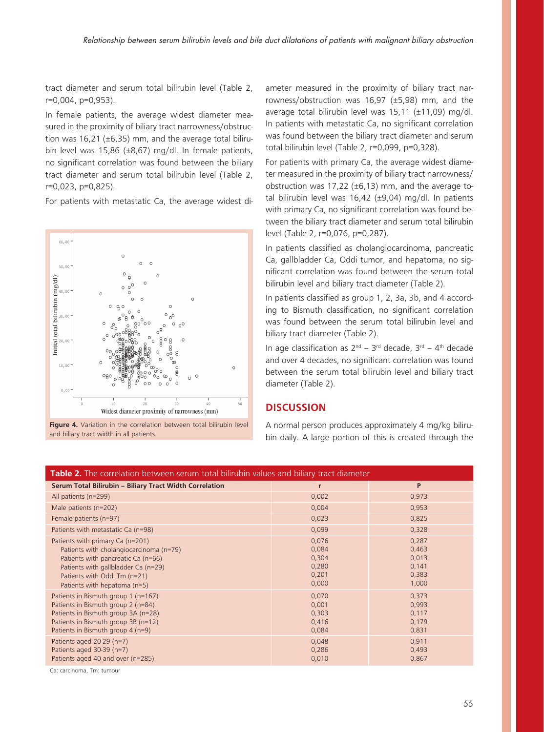tract diameter and serum total bilirubin level (Table 2, r=0,004, p=0,953).

In female patients, the average widest diameter measured in the proximity of biliary tract narrowness/obstruction was 16,21 ( $\pm$ 6,35) mm, and the average total bilirubin level was 15,86 (±8,67) mg/dl. In female patients, no significant correlation was found between the biliary tract diameter and serum total bilirubin level (Table 2, r=0,023, p=0,825).

For patients with metastatic Ca, the average widest di-



**Figure 4.** Variation in the correlation between total bilirubin level and biliary tract width in all patients.

ameter measured in the proximity of biliary tract narrowness/obstruction was 16,97 (±5,98) mm, and the average total bilirubin level was 15,11 (±11,09) mg/dl. In patients with metastatic Ca, no significant correlation was found between the biliary tract diameter and serum total bilirubin level (Table 2, r=0,099, p=0,328).

For patients with primary Ca, the average widest diameter measured in the proximity of biliary tract narrowness/ obstruction was 17,22 ( $\pm$ 6,13) mm, and the average total bilirubin level was 16,42 ( $\pm$ 9,04) mg/dl. In patients with primary Ca, no significant correlation was found between the biliary tract diameter and serum total bilirubin level (Table 2, r=0,076, p=0,287).

In patients classified as cholangiocarcinoma, pancreatic Ca, gallbladder Ca, Oddi tumor, and hepatoma, no significant correlation was found between the serum total bilirubin level and biliary tract diameter (Table 2).

In patients classified as group 1, 2, 3a, 3b, and 4 according to Bismuth classification, no significant correlation was found between the serum total bilirubin level and biliary tract diameter (Table 2).

In age classification as  $2^{nd}$  –  $3^{rd}$  decade,  $3^{rd}$  –  $4^{th}$  decade and over 4 decades, no significant correlation was found between the serum total bilirubin level and biliary tract diameter (Table 2).

### **DISCUSSION**

A normal person produces approximately 4 mg/kg bilirubin daily. A large portion of this is created through the

| Table 2. The correlation between serum total bilirubin values and biliary tract diameter                                                                                                                                 |                                                    |                                                    |
|--------------------------------------------------------------------------------------------------------------------------------------------------------------------------------------------------------------------------|----------------------------------------------------|----------------------------------------------------|
| Serum Total Bilirubin - Biliary Tract Width Correlation                                                                                                                                                                  | r                                                  | P                                                  |
| All patients (n=299)                                                                                                                                                                                                     | 0,002                                              | 0,973                                              |
| Male patients (n=202)                                                                                                                                                                                                    | 0,004                                              | 0,953                                              |
| Female patients (n=97)                                                                                                                                                                                                   | 0,023                                              | 0,825                                              |
| Patients with metastatic Ca (n=98)                                                                                                                                                                                       | 0,099                                              | 0,328                                              |
| Patients with primary Ca (n=201)<br>Patients with cholangiocarcinoma (n=79)<br>Patients with pancreatic Ca (n=66)<br>Patients with gallbladder Ca (n=29)<br>Patients with Oddi Tm (n=21)<br>Patients with hepatoma (n=5) | 0,076<br>0,084<br>0,304<br>0,280<br>0,201<br>0,000 | 0,287<br>0,463<br>0,013<br>0,141<br>0,383<br>1,000 |
| Patients in Bismuth group 1 (n=167)<br>Patients in Bismuth group 2 (n=84)<br>Patients in Bismuth group 3A (n=28)<br>Patients in Bismuth group 3B (n=12)<br>Patients in Bismuth group 4 (n=9)                             | 0,070<br>0,001<br>0,303<br>0,416<br>0,084          | 0,373<br>0,993<br>0,117<br>0,179<br>0,831          |
| Patients aged 20-29 (n=7)<br>Patients aged 30-39 (n=7)<br>Patients aged 40 and over (n=285)                                                                                                                              | 0,048<br>0,286<br>0,010                            | 0,911<br>0,493<br>0.867                            |

Ca: carcinoma, Tm: tumour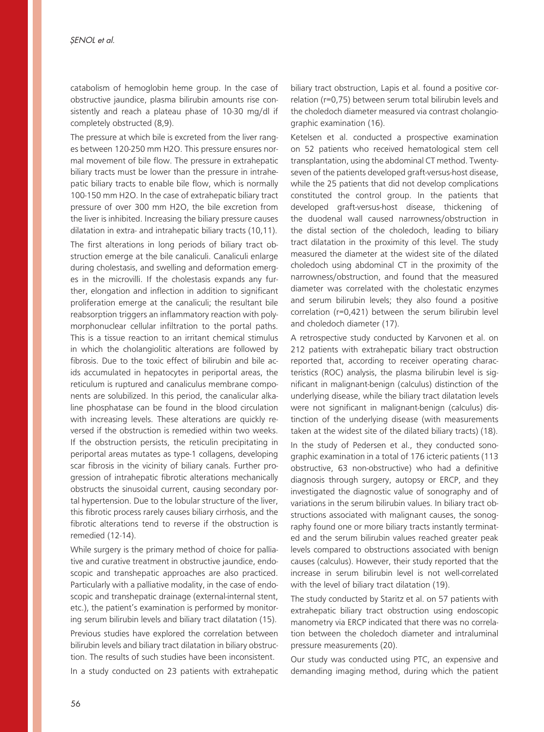catabolism of hemoglobin heme group. In the case of obstructive jaundice, plasma bilirubin amounts rise consistently and reach a plateau phase of 10-30 mg/dl if completely obstructed (8,9).

The pressure at which bile is excreted from the liver ranges between 120-250 mm H2O. This pressure ensures normal movement of bile flow. The pressure in extrahepatic biliary tracts must be lower than the pressure in intrahepatic biliary tracts to enable bile flow, which is normally 100-150 mm H2O. In the case of extrahepatic biliary tract pressure of over 300 mm H2O, the bile excretion from the liver is inhibited. Increasing the biliary pressure causes dilatation in extra- and intrahepatic biliary tracts (10,11). The first alterations in long periods of biliary tract obstruction emerge at the bile canaliculi. Canaliculi enlarge during cholestasis, and swelling and deformation emerges in the microvilli. If the cholestasis expands any further, elongation and inflection in addition to significant proliferation emerge at the canaliculi; the resultant bile reabsorption triggers an inflammatory reaction with polymorphonuclear cellular infiltration to the portal paths. This is a tissue reaction to an irritant chemical stimulus in which the cholangiolitic alterations are followed by fibrosis. Due to the toxic effect of bilirubin and bile acids accumulated in hepatocytes in periportal areas, the reticulum is ruptured and canaliculus membrane components are solubilized. In this period, the canalicular alkaline phosphatase can be found in the blood circulation with increasing levels. These alterations are quickly reversed if the obstruction is remedied within two weeks. If the obstruction persists, the reticulin precipitating in periportal areas mutates as type-1 collagens, developing scar fibrosis in the vicinity of biliary canals. Further progression of intrahepatic fibrotic alterations mechanically obstructs the sinusoidal current, causing secondary portal hypertension. Due to the lobular structure of the liver, this fibrotic process rarely causes biliary cirrhosis, and the fibrotic alterations tend to reverse if the obstruction is remedied (12-14).

While surgery is the primary method of choice for palliative and curative treatment in obstructive jaundice, endoscopic and transhepatic approaches are also practiced. Particularly with a palliative modality, in the case of endoscopic and transhepatic drainage (external-internal stent, etc.), the patient's examination is performed by monitoring serum bilirubin levels and biliary tract dilatation (15). Previous studies have explored the correlation between bilirubin levels and biliary tract dilatation in biliary obstruction. The results of such studies have been inconsistent. In a study conducted on 23 patients with extrahepatic biliary tract obstruction, Lapis et al. found a positive correlation (r=0,75) between serum total bilirubin levels and the choledoch diameter measured via contrast cholangiographic examination (16).

Ketelsen et al. conducted a prospective examination on 52 patients who received hematological stem cell transplantation, using the abdominal CT method. Twentyseven of the patients developed graft-versus-host disease, while the 25 patients that did not develop complications constituted the control group. In the patients that developed graft-versus-host disease, thickening of the duodenal wall caused narrowness/obstruction in the distal section of the choledoch, leading to biliary tract dilatation in the proximity of this level. The study measured the diameter at the widest site of the dilated choledoch using abdominal CT in the proximity of the narrowness/obstruction, and found that the measured diameter was correlated with the cholestatic enzymes and serum bilirubin levels; they also found a positive correlation (r=0,421) between the serum bilirubin level and choledoch diameter (17).

A retrospective study conducted by Karvonen et al. on 212 patients with extrahepatic biliary tract obstruction reported that, according to receiver operating characteristics (ROC) analysis, the plasma bilirubin level is significant in malignant-benign (calculus) distinction of the underlying disease, while the biliary tract dilatation levels were not significant in malignant-benign (calculus) distinction of the underlying disease (with measurements taken at the widest site of the dilated biliary tracts) (18).

In the study of Pedersen et al., they conducted sonographic examination in a total of 176 icteric patients (113 obstructive, 63 non-obstructive) who had a definitive diagnosis through surgery, autopsy or ERCP, and they investigated the diagnostic value of sonography and of variations in the serum bilirubin values. In biliary tract obstructions associated with malignant causes, the sonography found one or more biliary tracts instantly terminated and the serum bilirubin values reached greater peak levels compared to obstructions associated with benign causes (calculus). However, their study reported that the increase in serum bilirubin level is not well-correlated with the level of biliary tract dilatation (19).

The study conducted by Staritz et al. on 57 patients with extrahepatic biliary tract obstruction using endoscopic manometry via ERCP indicated that there was no correlation between the choledoch diameter and intraluminal pressure measurements (20).

Our study was conducted using PTC, an expensive and demanding imaging method, during which the patient